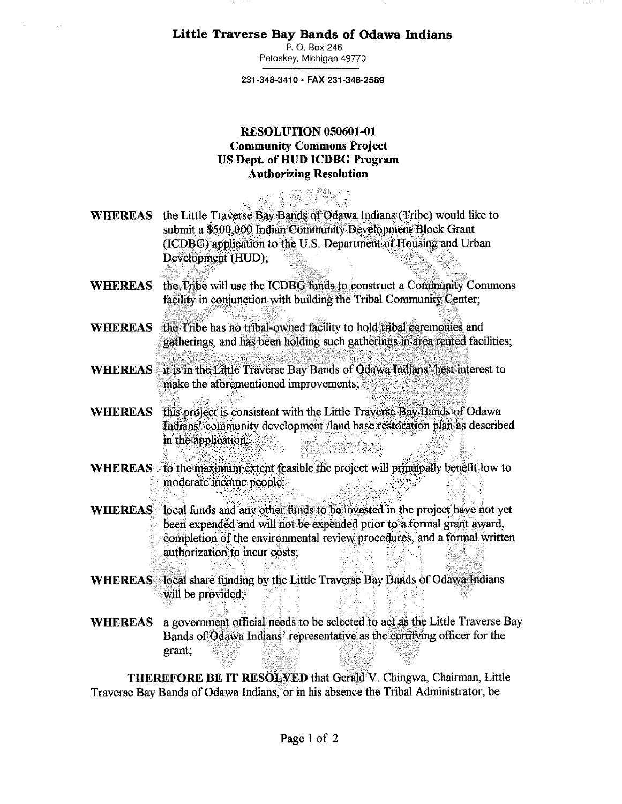**Little Traverse Bay Bands of Odawa Indians** 

**P.** 0. Box 246 Petoskey, Michigan 49770

**231-348-3410 • FAX 231-348-2589** 

## **RESOLUTION 050601-01 Community Commons Project US Dept. of HUD ICDBG Program Authorizing Resolution**

- **WHEREAS** the Little Traverse Bay Bands of Odawa Indians (Tribe) would like to submit a \$500,000 Indian Community Development Block Grant (ICDBG) application to the U.S. Department of Housing and Urban Development (HUD);
- **WHEREAS**  the'Tribe will use the ICDBG funds to construct a Community Commons facility in conjunction with building the Tribal Community Center;
- **WHEREAS**  the Tribe has no tribal-owned facility to hold tribal ceremonies and gatherings, and has **been holding** such gatherings in area **rented** facilities;
- **WHEREAS** it is in the Little Traverse Bay Bands of Odawa Indians' best interest to make the aforementioned improvements;
- **WHEREAS**  this project is consistent with the Little Traverse Bay Bands of Odawa Indians' community development /land base restoration plan as described in the application;
- WHEREAS to the maximum extent feasible the project will principally benefit low to moderate income people;
- **WHEREAS** local funds and any other funds to be invested in the project have not yet been expended and will not be expended prior to a formal grant award, completion of the environmental review procedures, and a formal written authorization to incur costs;
- WHEREAS local share funding by the Little Traverse Bay Bands of Odawa Indians will be provided;
- **WHEREAS** a government official needs to be selected to act as the Little Traverse Bay Bands of Odawa Indians' representative as the certifying officer for the grant;

**THEREFORE BE IT RESOLVED** that Gerald V. Chingwa, Chairman, Little Traverse Bay Bands of Odawa Indians, or in his absence the Tribal Administrator, be